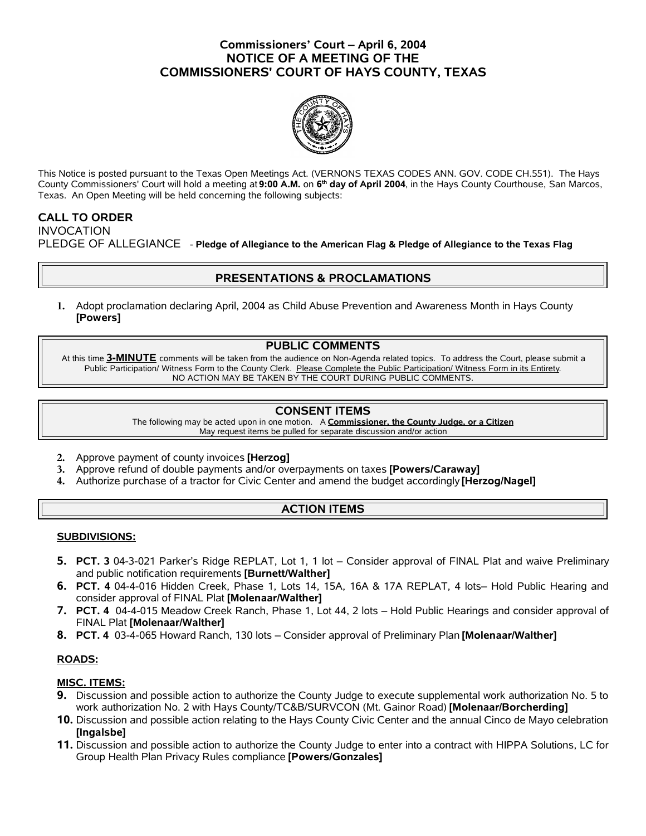# **Commissioners' Court – April 6, 2004 NOTICE OF A MEETING OF THE COMMISSIONERS' COURT OF HAYS COUNTY, TEXAS**



This Notice is posted pursuant to the Texas Open Meetings Act. (VERNONS TEXAS CODES ANN. GOV. CODE CH.551). The Hays County Commissioners' Court will hold a meeting at **9:00 A.M.** on **6 th day of April 2004**, in the Hays County Courthouse, San Marcos, Texas. An Open Meeting will be held concerning the following subjects:

## **CALL TO ORDER**

INVOCATION

PLEDGE OF ALLEGIANCE - **Pledge of Allegiance to the American Flag & Pledge of Allegiance to the Texas Flag**

# **PRESENTATIONS & PROCLAMATIONS**

**1.** Adopt proclamation declaring April, 2004 as Child Abuse Prevention and Awareness Month in Hays County **[Powers]**

### **PUBLIC COMMENTS**

At this time **3-MINUTE** comments will be taken from the audience on Non-Agenda related topics. To address the Court, please submit a Public Participation/ Witness Form to the County Clerk. Please Complete the Public Participation/ Witness Form in its Entirety. NO ACTION MAY BE TAKEN BY THE COURT DURING PUBLIC COMMENTS.

### **CONSENT ITEMS**

The following may be acted upon in one motion. A **Commissioner, the County Judge, or a Citizen** May request items be pulled for separate discussion and/or action

- **2.** Approve payment of county invoices **[Herzog]**
- **3.** Approve refund of double payments and/or overpayments on taxes **[Powers/Caraway]**
- **4.** Authorize purchase of a tractor for Civic Center and amend the budget accordingly **[Herzog/Nagel]**

# **ACTION ITEMS**

### **SUBDIVISIONS:**

- **5. PCT. 3** 04-3-021 Parker's Ridge REPLAT, Lot 1, 1 lot Consider approval of FINAL Plat and waive Preliminary and public notification requirements **[Burnett/Walther]**
- **6. PCT. 4** 04-4-016 Hidden Creek, Phase 1, Lots 14, 15A, 16A & 17A REPLAT, 4 lots– Hold Public Hearing and consider approval of FINAL Plat **[Molenaar/Walther]**
- **7. PCT. 4** 04-4-015 Meadow Creek Ranch, Phase 1, Lot 44, 2 lots Hold Public Hearings and consider approval of FINAL Plat **[Molenaar/Walther]**
- **8. PCT. 4** 03-4-065 Howard Ranch, 130 lots Consider approval of Preliminary Plan**[Molenaar/Walther]**

### **ROADS:**

### **MISC. ITEMS:**

- **9.** Discussion and possible action to authorize the County Judge to execute supplemental work authorization No. 5 to work authorization No. 2 with Hays County/TC&B/SURVCON (Mt. Gainor Road) **[Molenaar/Borcherding]**
- **10.** Discussion and possible action relating to the Hays County Civic Center and the annual Cinco de Mayo celebration **[Ingalsbe]**
- **11.** Discussion and possible action to authorize the County Judge to enter into a contract with HIPPA Solutions, LC for Group Health Plan Privacy Rules compliance **[Powers/Gonzales]**